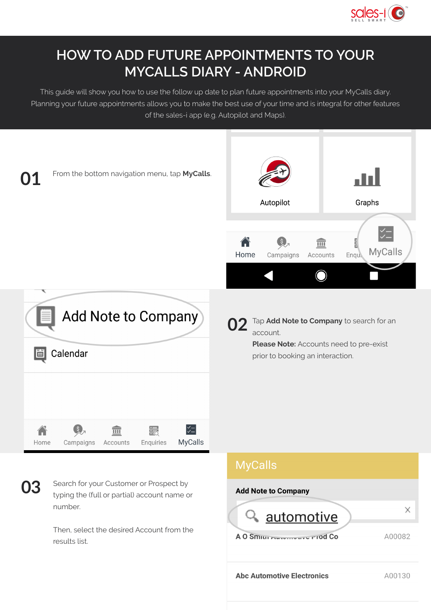

## **HOW TO ADD FUTURE APPOINTMENTS TO YOUR MYCALLS DIARY - ANDROID**

This guide will show you how to use the follow up date to plan future appointments into your MyCalls diary. Planning your future appointments allows you to make the best use of your time and is integral for other features of the sales-i app (e.g. Autopilot and Maps).